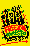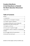### **Freedom Manifesto: A Draft Manifesto to Rebuild the Black Liberation Movement**

August 2016

#### **Table of Contents**

| 3. Our fight is against capitalism 12                                                      |  |
|--------------------------------------------------------------------------------------------|--|
| 4. Strategic working class unity includes the<br>leadership of the black working class  15 |  |
|                                                                                            |  |
| 6. We are part of a global struggle 26                                                     |  |
| 7. Our fight for reform is linked to a revolutionary                                       |  |
| 8. Our struggle will last for generations 30                                               |  |
|                                                                                            |  |

Symbols on these pages courtesy of adinkra.org.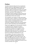# <span id="page-2-0"></span>**Preface**

The Black Liberation Movement has reawakened. Militant activists are fighting against police terror, for jobs and a livable wage, for housing for the homeless, against environmental racism, for quality education, for human rights for our LGBT brothers and sisters, and more. This manifesto is a contribution toward uniting our diverse forces into one mighty movement for Black liberation and the transformation of the entire society.

This manifesto is for workers in trade union locals and worker centers, students on campus and in high school, brothers and sisters locked up in the prison camps, activists on all battlefronts in every community. Capitalism stinks and is not the system that we need to lead decent and meaningful lives.

Please send suggestions for this document. Rewrite it. Create your own. The point is to have a revolutionary festival of ideas to advance our consciousness and take our struggle to a much higher level. When we can meet in a national assembly for Black Liberation, every document can be part of creating one declaration for us all.

This manifesto is the work of veterans of five decades of struggle and young activists in the current struggles. First came a 2014 version. The Black Left Unity Network revised it in 2015. Now in 2016 a national Black Left Study Group, brothers and sisters in 10 cities, studied both versions for ten months and offers this revision.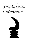Our movement has been powerful and it is becoming powerful again. We just have to sum up our practice in struggle—past, present and future and think together about the problems we have and how we can solve them. This manifesto, read and talked about by people and groups all over, can contribute to a national consensus to be ratified at a National Assembly for Black Liberation.

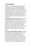### <span id="page-4-0"></span>**1. Introduction**

The deep crisis facing Black people requires bold radical action. We can accept this challenge as individuals and in groups, but the strategic goal must be the rebuilding of a national movement for Black liberation. There are many groups. Even those organized nationally are small and scattered. But hundreds of thousands of people see the need for militant fight back. It is time for a great coming together to rebuild our Black liberation movement nationwide.

*Our fight has always been for freedom.* The history of Black people involves every aspect of life but there has always been a central theme: How can we get free? This means an end to exploitation and oppression. This is a critical starting point for all education and self-consciousness in the Black community. It demonstrates the basic humanity of Black people, the will to live and find ways to improve our lives as a collective, a community, a nation.

*We build on our Black Radical Tradition.* In order to be a revolutionary you have to know your history. Our tradition of militant fightback has been anchored in five ideological tendencies that are most often woven together in the thought and practice of any person, group, or movement. These five are Black liberation theology, Pan-Africanism, Nationalism, Feminism, and Socialism. The most recent concentration of ideological debate was in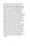the 1960s and represented in the life, work, and thought of Martin Luther King and Malcolm X.

*We are rebuilding the Black Liberation Movement.* How can we tell when a national Black liberation movement is underway? When Black liberation activists in every generation have organized national assemblies to unite around a common program. The earliest was the National Negro Convention Movement of the 1830s. This unity goes beyond single issues. It grasps the overall character of fighting on all fronts. When a national Black Liberation movement is underway, national bodies set policy and coordinate national campaigns of struggle. Major conferences facilitate debate. This leads to consensus and more intense resistance. So we had the 1967 and 1968 Black Power Conferences, the 1970 Congress of African People, the 1970 revolutionary peoples convention of the Black Panther Party, the 1972 Gary National Black Assembly, the 1974 conference of the African Liberation Support Committee, the 1981 National Black Independent Political Party, and the 1998 Chicago launching of the Black Radical Congress. To be revolutionary, we must learn from these advanced gatherings of our national Black liberation movement as milestones of our Black Radical Tradition.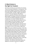### <span id="page-6-0"></span>**2. Black history is the fight for freedom**

The lessons of history are summations of a process. They can be about individuals or social groups. They can be local or global. This process includes social forces that represent different classes and nations. It includes gender, sexuality, religion, generations, and so on. The main dynamic of the African American experience, the theme that embraces all Black people, is the fight not only to survive but to resist and end capitalist exploitation and all forms of oppression. In a word, Freedom! We have overcome the slave trade and colonialism in Africa and throughout the African Diaspora. We have overcome sharecropping. We will overcome industrial wage slavery and today's inhuman forms of racism, poverty, and patriarchy. The system has been against us but we have always fought back.

*Africa.* Africa was invaded by Europeans. There was evil cooperation from some of the ruling classes and elites among the Africans themselves. So Africa took a double blow: Black people were stolen from their land and forced into the labor systems of slavery in the West, and colonized on African land. The people who remained in Africa were virtually enslaved. Both attacks forced European culture on African people: language, religion, legal systems, what little education that was provided, and cultural aesthetics. The infamous colonization frenzy was legalized in the Berlin Conference of 1884-85.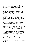After World War II African resistance movements expelled the invaders and created independent African countries. First came Ghana in 1957 under the leadership of Kwame Nkrumah. Most of the newly independent countries were guided by a rising African capitalist class. This class compromised the liberation struggles by falling in line with the World Bank and the International Monetary Fund. Many African revolutionaries who represented the working class and struggles against capitalist neo-colonialism were murdered: Patrice Lumumba, Chris Hani, Amilcar Cabral, Edwardo Mondlane, Pierre Mulele, General China, Kimathi, Stephen Biko, Maurice Bishop, Walter Rodney, and others. Today Africa and the African Diaspora face the need for a 21st century revolution led by the working class and its impoverished masses.

*The European slave trade.* Stripping Africa of people served the labor needs of Europe, especially in the fields and mines of the Americas. As Eric Williams explains, a triangular trade linked Europe (manufactured goods) to Africa (labor) to the Americas (extraction of raw materials and products of agricultural development). This barbarism took Africans to every island in the Caribbean and every region of North, Central, and South America, expanding the African Diaspora.

Our freedom struggle has raged against these crimes against humanity. We remember Queen Nzinga Mbande of Angola and Joseph Cinque of the Amistad Revolt.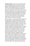*The slave system.* Slavery was a system that bred, sold and worked Africans to death for 400 years. Millions of Black people were moved across the southern US to produce tobacco, rice, and much more, most of all cotton. Black field hands were worked to death from "can't see to can't see," from before sunrise to after sunset. Black women faced the double exploitation of working in the fields or the "big house" and breeding children to be slaves as well. Through inheritance and the long-lived corporations, the wealth we created still exists today. It keeps us in persistent poverty.

Slave production of cotton pulled Black people into the Deep South, creating what became known as the Black Belt. But slavery's true role in the rise of capitalism has been kept hidden. It started in the 1700s with the buying and selling of African people and their production of cotton for the world market. It emerged as textile production in England and North America. By the 1800s cotton was the number one commodity in the world. The slave South and the industrial North each reaped the profits and benefits of slavery. Factories in the North produced cloth for clothing and other commodities. Ships leaving Northern and Southern ports moved slaves and goods around the world. Northern banks lent money for slave plantations and the industries that depended on slave-grown crops. Even the wages of white workers in Northern factories depended on slave labor and profit from the world cotton trade. The market value of the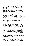nation's population of enslaved Africans was higher than all other sources of wealth at the time. These are the historical facts that continue to make reparations such an important question for the Black Liberation movement.

*Emancipation.* The US evolved with two labor systems: slavery in the South and wage labor in the North. Representatives from each struggled for control of the federal government. This led to the Civil War. Slave labor threatened the wages of white workers. The abolitionist movement opposed the vicious system of slavery. All this motivated people in the North to support the war.

But Black people were not given freedom by anybody. We rose up and fought in many ways to be our own liberators. Nat Turner, Denmark Vesey, Gabriel Prosser and others led mighty revolts. The Underground Railroad led by Harriet Tubman and Sojourner Truth freed countless slaves. W. E. B. DuBois in his master work *Black Reconstruction* describes a general strike: slaves withholding their labor and undercutting the slave regime in many ways. Black people fought the Confederacy at a far higher rate than white people. After the Civil War during Reconstruction, Black voters and elected officials democratized the South, introducing free public education for all.

*The African American nation.* Especially within the Black Belt (a territory that stretches from the eastern shores of Maryland to east Texas), Black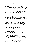people created an African American national culture. Before and after the overthrow of slavery, Black people from different African origins were welded into an oppressed nation. We improvised on our original African cultures. We created new social institutions, a common economic life, new speech and language and collective community life. We did this in church, in musical and other social and political venues, and in developing social classes. African Americans were concentrated in counties that were majority African American, dominated by the plantation economy, repressive government and an apartheid system. We suffered concentrated exploitation and oppression. More people were lynched there than anywhere else in the US. The lack of political authority over the territory and social and economic institutions of the Black Belt has prevented the Black majority in the South from expressing its full right of self-determination.

And there too the modern Civil Rights Movement developed, in opposition to the barbaric oppression imposed on Black people in the Black Belt, from peonage to lynching.

*The Great Migrations from the rural South to the industrial North.* During the 20th century Black people were pushed out of the South and pulled into the North—meaning the West, the Midwest and the Northeast. This dispersed Black people into the major industrial cities. Racist terror pushed people North. Migration was also an act of resistance. People rejected old forms of oppression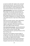in search of a better life. People in the rural South faced persistent poverty. The mechanical cotton picker eliminated their livelihood and more often than not the planter's tractor leveled their houses. Meanwhile the Northern factories beckoned.

*Urban ghettoization.* Real estate red-lining forced Black people into the cities' worst housing. Our communities concentrated all of the worst social problems. Police control held it all in place. But Black people became the core of the working class. On that basis, building from our Southern roots, the urban ghetto became a major base of Black political power.

Oppression breeds resistance. Mass organizations and movements brought together workers, students, community organizations, women, religious organizations, and many others into the 20th century fight for Black Liberation.

*Crisis of permanent poverty.* Capitalist globalization took new forms in the 1970s. Industries moved to former colonies and the US South. High unemployment became a permanent feature of the Black working class.

Meanwhile a technological revolution began to reorganize all of society. This reduces the demand for the labor of the old industrial system. Struggles of the 1930s and 1960s forced President Roosevelt's New Deal and Kennedy and Johnson's Great Society. But that social safety net has been fraying for some time now. Permanent poverty is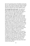the lot of a growing section of the Black community. We are under assault by drugs both legal and illegal. We face a new slavery in the prison system. This is all part of a general crisis of the capitalist system.

*The Strategic Role of the South.* The majority of Black people have always lived in the Southern region of the US. This has also been the region of the most oppression against Black people. It continues to be the region most hostile to organizing workers with right-to-work anti-union laws. Increasingly capital from all over the world joins US capital in patterns of extreme economic exploitation in the South. But more than that there is the structural patterns of racism, and the lowest quality of life in all areas of human existence. The southern region is a strategic location for the Black liberation movement, the workers movement, and the general revolutionary forces because it is so crucial for the existence of the capitalist system. The social, economic and political extremes of the region make the fight for reform an essential component to building a movement for fundamental social change. On the one hand it is essential for the Black liberation movement's fight for African American self-determination, while at the same time advancing the role of Black workers in leading the movement. This class perspective strengthens the anti-capitalist character of the national Black liberation movement and is an essential part of fighting for the unity of the multinational working class.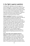# <span id="page-13-0"></span>**3. Our fight is against capitalism**

The Black left is fighting on all fronts against all forms of oppression. A central point of unity is that all of our struggles can advance only to the extent that we mount a full assault on the capitalist system as a racist system of class exploitation, national oppression, patriarchy, and imperialism. Capitalism is how the 1% control society and the world economy. It is the source of our misery.

*What is capitalism?* Capitalism is an economic, social, and political system that exploits the labor of working people and feeds the greed of the corporations and the rich who own the factories and the machines. People work and create value by turning raw materials into usable products. We are paid far less than the value we create—just the minimum. Most of the rest is surplus taken by the corporations as their profit. Workers and owners struggle over who gets this surplus. They live fat while we starve. In its monopoly stage of development, capitalism became imperialism, a global system of exploiting countries all over the world.

*How is the origin of US capitalism based on slavery?* The wealth needed for the origin of the industrial system in the US was created out of the super profits taken from the sale and labor of the slaves, especially in the cotton fields. This slavebased wealth has funded many corporations and banks. This wealth has propped up wealthy families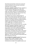that inherit and maintain control over social and cultural institutions such as private universities, especially in the Ivy League.

*How does capitalism exploit us?* Today capitalism is transforming and replacing human labor with "smart" machines. If people are not working for a wage, the market system for circulating goods and service breaks down. Without a job, you can't buy what you need, and they can't sell it.

So capitalism has turned to making money on death. That includes bad food. Bad health care. All varieties of drugs and alcohol. TV culture that kills the mind. The military-industrial complex produces weapons for imperialist wars and all forms of military aggression including the violence in our cities. All too often our churches become appendages to this, preaching money over morality.

*How does capitalism exploit the world?* The 1% uses military interventions supported by global organizations such as the International Monetary Fund, the World Bank, and the World Trade Organization. Everywhere they capture cheap labor and important raw materials. They use the United Nations and NATO to justify imperialist military aggression. This way they keep moving wealth from poor countries to rich ones.

*Can we defeat the capitalist system?* Nothing lasts forever. Slavery ended. Feudalism ended. Capitalism will end as well. More and more, humanity has no stake in the capitalist system and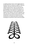is rapidly growing to hate it and struggle against it. Outside of the US, resistance is explicit in rejecting capitalism. But here we face the soft terror of media and government. They are obsessed with putting a gag rule on any alternative discourse. A good indication of the rejection of capitalism was the Occupy Movement. Occupy exposed the evil exploits of the ruling 1%. The end of capitalism will only come with our militant unity of action among and between movements of resistance by the working class and oppressed nations and people, including the movements of Afro-American people.

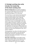# <span id="page-16-0"></span>**4. Strategic working class unity includes the leadership of the black working class**

*Why the working class?* The majority of people in the US are working people. We are all exploited by the capitalist system. People know this and spontaneously oppose it in so many ways.

Of course there is a racist national chauvinism that turns some white workers into enemies of Black people and other people of color, especially working and poor people. Mainstream media broadcasts the lie that we black workers are the cause of their misery. As people fight in their own interest against the bosses, conditions are created to expose the role of white supremacy to divide the working class, defend white privilege, and justify the exploitation and oppression of Black people. We have the chance to win significant numbers of white workers to an anti-racist working-class unity. This is worker's solidarity.

Thinking globally, more allies of the Black Liberation Movement are the militants in the international working class movement, especially from the oppressed nationalities and peoples. The enemy of my enemy is my friend.

*Black labor organizations.* The first Black worker organization was the 1866 Colored National Labor Union. Frederick Douglass was one of its early leaders. Working class activists have engaged in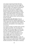every stage of organizing the Black liberation movement. We have witnessed the struggle for inclusion of Black workers in the CIO unions of the 1930s, the largest, most significant organizing of U.S. workers. We have seen the League of Revolutionary Black Workers (1969), the Black Workers Congress (1971), the Coalition of Black Trade Unionists (1972), Black Workers for Justice (1981), and the Black Workers Unity Movement (1985). Today we have many rank-and-file Black caucus groups, workers centers, and the Southern Workers Assembly.

*Anti-imperialist unity with Latinos.* National oppression and extreme capitalist exploitation of Latinos makes them close allies of Black people. This is especially true for people with roots in Mexico, Puerto Rico, and elsewhere in the Caribbean and the Americas.

The capitalist strategy is to divide workers and play them against each other. The most desperate among us take the lowest wages. Our class unity must take a strong position against this capitalist ploy and unite Black and Brown workers in a common cause. To defeat imperialism we must unite struggles against class exploitation and national oppression at home and abroad.

*Class struggle and Black liberation.* Initially, the fight of workers is first and foremost a fight to make wages and working conditions better. This includes benefits and pensions. People fight as individuals,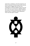work teams, workplaces, and entire industries. All of this is necessary. And we can go further and link these reform struggles with the vision and coordination to end the capitalist system once and for all. We are in an all-out war: capitalists against the masses of workers and poor people. They will always cheat us. Capitalism means exploitation. That's how their game is played.

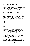# <span id="page-19-0"></span>**5. We fight on all fronts**

The Black Liberation Movement and the workers movement under revolutionary leadership does not unite in the abstract. It's all about concrete conditions. But ideas do keep us clear. Each struggle needs its own clarity and vision.

Fogging up our vision are the many in-between opportunist types we meet in the day-to-day struggle. They are in between us and the ruling 1% and they put forward in-between solutions. The inbetween types are the social basis for opportunity and misleadership. But the history of the liberation struggle has taught us that the struggle against imperialism requires ruthless struggle against opportunism.

We also face the state and its police forces. Slogans are powerful ideas that keep our eyes on the real enemy.

*Police repression and prisons.* Every 24 hours US police forces and vigilantes shoot and kill a Black person. Routinely, Black youth are rounded up and placed into police databases. Prisons are overcrowded with Black men. Black women are increasing being processed through the prison camps. Many of our militant fighters have been incarcerated as political prisoners, some held in solitary confinement for decades.

Our communities are under constant surveillance. When outside our segregated neighborhoods, we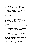are harassed, arrested, and shot for driving while Black, for wearing a hoodie, just for being ourselves. We are still not free. Mass incarceration is the new Jim Crow and is a principal means of national oppression.

Release all political prisoners! Stop the surveillance and monitoring of all communication of the Black community by government agencies and private corporations! Stop police murder! Community control of police!

*Women.* Patriarchy arose before capitalism. But capitalism and its imperialist expansion for control of labor markets, raw materials, and land systematized male supremacy in new ways. It did the same with racism. This meant European white male dominance over women, other peoples and cultures.

The Black Liberation movement must overcome and correct the internalized male chauvinism in our history and advance the leadership of women at all levels of the Black Freedom struggle, in our communities, churches, unions, and promote equality in our homes.

The struggle against patriarchy, male supremacy, and sexism is key to rebuilding the black freedom struggle and the unity of our people as a whole. Although women lead this struggle, everyone must take it up and support it.

Gender equality! Mobilize women, and facilitate the leadership of women on all battle fronts!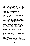*Environment.* The capitalist system is destroying the natural environment of the world. Profit seeking ravages ecosystems. It pollutes air and water. It creates mountains of nuclear waste. It fuels global warming. It axes biodiversity that has taken millions of years to develop. Environmental racism represents a disproportionate concentration of dangers in Black communities.

The earth's resources must be a commons for all humanity to share! End fossil fuel use! Our future must be green!

*Seniors.* Our society is growing older. But we lack sufficient support and respect for older members of our communities. They end up removed from transgenerational households. They face the crisis of declining incomes. Welfare support is reduced or gone. Health care is poor. Old people end up isolated from family and friends. We must become a sharing and loving society from the cradle to the grave.

Full pension for all retired workers! Recognize senior as lifelong contributors to society! Respect and care for all older people!

*Health.* The capitalist system has spoiled our food. It uses advertising to make us lust for sugar, salt, fat, and other painkillers. It turns health care into a factory system that keeps most of us running for the latest pharmaceutical. Of course there are people with no health insurance or with the limited coverage of Obamacare. We have to choose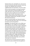between food, rent, and health care. Look around and see the obesity, bad teeth and poor vision and hearing. The capitalists have turned our neighborhoods into food deserts. This has to stop.

African American people are among the greatest victims of the lack of universal healthcare. We suffer with lower rates of insurance coverage. We have less access to quality care. So we have the highest rates of stroke, heart attack, cancer, diabetes, kidney disease (with limited access to life saving kidney replacement), HIV/AIDS, and other life threatening diseases.

Fight for universal health care! Stop fast foods in our community! Ban liquor sales in our community! Forward to community gardens!

*Education.* The education gains of the 1960s have been wiped out. Our children are not learning to read and write and work with numbers. Meanwhile the system takes money out of public schools to fund privatized education and the imperialist war machine. In many urban areas, school boards are closing schools in the Black and Latino communities at an alarming rate. High-stakes testing places our youth on a path of failure with limited possibilities for good employment. College attendance and graduation is falling. With attacks on affirmative action and minority scholarships, we see ethnic cleansing of our campuses.

We demand from the government the material resources to save our youth from the pipeline of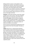failing-schools-to-prison or the pipeline to the imperialist war machine. We demand community control of K-12 schools and the removal of police from schools. We need quality well-rounded education from pre-school to university, and federal sponsored, youth-targeted employment programs.

Free universal quality public education for all, from day care through university!

*Housing.* The last few economic crises have ruined people's lives in this country. They have targeted Black people most of all and much of this is via housing. Mortgage schemes and loan programs cheat us. Public housing resembles a reservation. When we find a place to live, it is usually the lowest quality and highest cost. Increasing numbers of adults and children are homeless.

House everyone and eliminate homelessness! End loan practices that cheat the people! Housing is a right!

*LGBTQ.* Democracy is undermined by defining certain people as bad and devaluing and punishing them. All too often this means people of different genders and sexual orientations. So we experience the abuse of lesbian, gay, bisexual, transgender and queer people in prison, in poverty, in the medical system, and throughout society. Same-sex relationships and all genders must be respected. LGBTQ oppression is part of the cultural crisis of the capitalist system.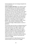End homophobia now! Let marriage and gender be a personal choice!

*Culture and Black Liberation.* The capitalist system turns everything into a commodity to be bought and sold. This includes the cultural production or contributions of our community. We all used to sing; and now we buy music and pay to hear others sing. What is more, the 1% pays performers who play and sing what they want them to. We invented hip hop to serve our community. From the start it expressed political critique and youth aspirations. Corporate music empires have twisted it into the degenerate, self-hating and often misogynist gangster rap. Perhaps the greatest danger comes from TV. We see there a renaissance of old stereotypical images of Black people as clowns or gladiators.

On the other hand, we have an unbroken history of cultural production that inspires people to resist. Poets and musicians can reflect, support, and inspire the struggle of the masses. Our cultural revolution reconnects with our African origins. It embraces the best our cultural developments as African Americans. Jazz is Black classical music. Cultural rituals can continuously reinforce positive values and beliefs to unify our community and sustain our struggle.

Cultural production for Black liberation! Recruit cultural workers to every front of struggle!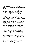*Reparations.* European and US capitalism relied from the start on our enslavement, exploitation and oppression. Underdevelopment, lack of opportunity, inequality, and shorter life expectancy for African people everywhere, are all built into the capitalist system. The demand for reparations connects Africa and the African diaspora to a common demand of redress against the governments and corporations of colonialism and imperialism and the institutions like the World Bank, International Monetary Fund and the World Trade Organization. We recognize their crimes against humanity, as outlined in the UN Declaration on Human Rights.

Reparations must be one of the major demands for self-determination including land/territory and political power!

*Imperialist war.* The imperialist stage of capitalism is when large scale corporations and financial institutions cover the globe in search of profits, and no country is safe. Imperialism always leads to war and the constant threat of war. One kind of war is when the imperialist country seeks to dominate another country for economic, social and political reasons. This drives the wars in the Middle East as the US and its European allies seek to control oil and the strategic zone linking Europe, Africa, and Asia. Another kind of war is when two or more imperialist countries fight to expand or limit their spheres of influence and domination. Examples of this are World War I and II. This is also on the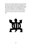horizon as the military buildup of Europe and Japan rival the US, and as the US moves in opposition to Russia and China. All of these imperialist wars place the world in danger as we are getting closer to the use of nuclear weapons. The war budget drains funding from vital and necessary social programs.

Stop the US military machine! End all imperialist war!

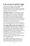# <span id="page-27-0"></span>**6. We are part of a global struggle**

We all live on Planet Earth. Our struggles impact people all over the globe. We need to be internationalists and focus on freedom and quality of life for everyone. We are linked especially to the struggles in the African Diaspora.

*The struggle in Africa.* The United Nations named 1960 Africa Year when so many countries gained their independence from European colonization. But this led to neocolonialism governed by the World Bank the and the International Monetary Fund. Bureaucratic tyrants took control of the state apparatus in most African countries. They looted the wealth and suppressed the people.

African people world-wide and all anti-imperialist forces must struggle for unity, peace, and freedom!

*The struggle of Black people in the Caribbean.* All of the Caribbean is part of the African Diaspora. The only difference for African people was where the slave ship stopped and which European colonial language they made us speak. The fight continues in the Caribbean, from the trade union based Movement for Social Justice in Trinidad-Tobago, to the fight for sustaining socialism in Cuba.

Long live Caribbean unity! Oppose the domination of US and global capital!

The struggle of Black people in Latin America. Spanish colonialism brought African labor and historic Black populations to Mexico, Central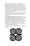America and South America. Afro-Brazilians and Afro-Columbians are the most numerous. US imperialism has forced many to migrate to the US creating Latin American diasporas. We share the African Diaspora, the experience of racism and class exploitation, and the struggle against imperialism and all its manifestations.

Long live African American and Latino unity! Build our movements of movements throughout the **Americas!** 

*The struggle of Black people in Europe.* There are Black communities all over Europe. They embrace our militant struggles in the US and we must embrace their history of struggle as well. They face racism and class exploitation too. This goes for people born in Europe as well as recent migrants from Africa and the Caribbean.

Long live the unity of African Americans and Black Europe!

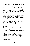# <span id="page-29-0"></span>**7. Our fight for reform is linked to a revolutionary strategy**

*The day-to-day struggle.* The idea of a revolution is abstract, but the fight for one is not. People fight back in daily life, at workplaces, the unemployment office, the grocery store, school, church and more. Big political ideas take shape in on-the-ground practice. When the fight intensifies everybody can get educated, get political, and begin to think about the link between the reform struggle and the revolutionary leap that is necessary. In this context a Black left can be grounded in our people, in the very fight they wage themselves. We join them. We embrace their leadership. We link their fight with the fight of others. We help sum up and learn lessons from victories and defeats. We train militants to increase their ability to sustain the struggle.

Fight back every day! Link the fight for reform to revolutionary goals!

*The response to racist attacks.* Every racist attack must be opposed and mass resistance built to end it, just as we raised the slogans No More Trayvons! and Black Lives Matter! We do this as part of massive nationwide mobilization. So must we continue on higher and more coordinated levels. This is a key task of rebuilding a national Black liberation movement.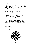*The electoral struggle.* The capitalist state is a rigged game controlled by the ruling class. They don't play fair and we can't win by getting in it and trying to reform things. All too often we have been lured into local politics as mayors and city council officials, only to try and fix a broken system that can't be fixed with minimal reforms.

But electoral politics is a terrain of struggle where debate and discussion can raise the consciousness of people. This can present people with an alternative to the hypocrisy and illusions of mainstream politicians. The movement must remain autonomous from state and NGO control. On the other hand, Black power at the local level can be used by the movement, especially if we build the independent power of the forces in struggle for unionization, livable wages, eminent domain to house the homeless, money for public schools not charter schools, and so on.

Hold elected officials accountable to serve the community!

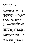### <span id="page-31-0"></span>**8. Our struggle will last for generations**

Struggle is a generational handoff. Each generation has a mission, a contribution to make, and then it is up to the next generation. We fight for freedom, going forward one step, one stage, one historic leap at a time.

*The 1960s generation.* The 1960s was the last great upsurge. 1960s activists are today's movement elders. They are walking, living, libraries. They were part of victories and mass mobilizations. They were also part of factional battles and splits. This is valuable: what to emulate and what to avoid.

*The 21st century.* The 21st century is not the 1960s. We are caught in a technological revolution being used to change all aspects of life. We have to adapt to that and learn how to use digital tools in our struggle. We don't have the revolution of rising expectations of the 1960s, fueled by revolutions in China, Cuba, Vietnam as well as national liberation battles all over Africa. Today we fight many forms of Afro-pessimism as well as the diseases of addiction and the breakdown of many traditional institutions. We rebuild on a new basis, to take our fight to the next level. The imperialist system is in crisis, presenting to the people and the revolutionaries many challenges. We must see this as an opportunity for struggle to build anti-imperialist organizations and alliances at home and abroad.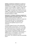*Building revolutionary institutions to sustain our movement.* Our task is to build organization and consciousness to struggle in every context: workers, students, church members, residents, health care patients, seniors, and so on. People are reborn in the struggle. Our people need a rebirth so we must engage. Every organization must be built by relying on our own people and not on handouts from friendly foundations or NGOs.

*Dual power: A strategic revolutionary objective of self-determination and workers power.* Altering the balance of power between the Black and multinational working class and the U.S. ruling class and its imperialist state is a constant goal of revolutionary strategy. This will position the oppressed and exploited masses for social revolution.

A strategic program focuses on the relationship between politics and economics. It must not only put forward demands for democracy. It must fight for transformative power to organize alternative social, economic and political models. This can engage people in organizing and administering in a different way in our workplaces, communities, social institutions and positions in local government. This is defined as dual and contending power.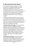# <span id="page-33-0"></span>**9. We march into the future**

This Freedom Manifesto is offered as a living document for rebuilding the Black Liberation Movement and linking it to the overall revolutionary process in the US and worldwide. Now that you have read it, we want you to join in as an individual, into a group process, into helping organize your community, and into helping developing national unity. We call it study and struggle.

We practice the 80-20 approach to unity. We are not trying to be perfect and in total and absolute agreement. That would be foolish and prevent the unity we need. If we concentrate on what we can all agree with, maybe we can get to 80%. And we can learn from our differences of 20%.

*Individual study and struggle.* Of course you have taken the first step of reading the Freedom Manifesto. Now we propose that you do so again to study it carefully. Reading with a pencil. Mark your agreements and disagreements. Note where you need more study. Note where you have some practical experience. Note passages you want to talk about with people. This might take three readings.

*Group study and struggle.* We are interested in every kind of organized group taking up the Manifesto for study, leading to a formal resolution of agreement based on the 80-20 principle. This includes groups fighting against all forms of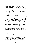exploitation and oppression: labor groups, churches, student and campus groups, community organizations, and human rights groups. But we are also interested in PTA's, sports groups, youth groups, cultural groups—any and all who decide it is time to unite to fight for fundamental change.

Second, we encourage all individuals to organize friends and colleagues into a study group to read and deeply discuss the Manifesto and how it can help them develop action plans.

*Community study and struggle.* We propose that all of the individuals and groups in a local community pull together and organize a public forum to discuss the Manifesto. The question is this: How can the Manifesto build unity for the local Black liberation movement?

While all forms of publicity can help, we strongly advocate door-to-door canvassing in areas most under attack or most associated with local Black Liberation Movement activities. Copies of the Manifesto should go to everyone you contact and everyone attending a local forum. Let's go deep into the community to rebuild a popular base for Black liberation.

*Local base-building leads to a national assembly.*

In the next year or so we need to pull all local groups together into a national assembly for Black liberation. Each local area is unique but we are all subject to national patterns of exploitation and oppression. So we need to fight at the local and the